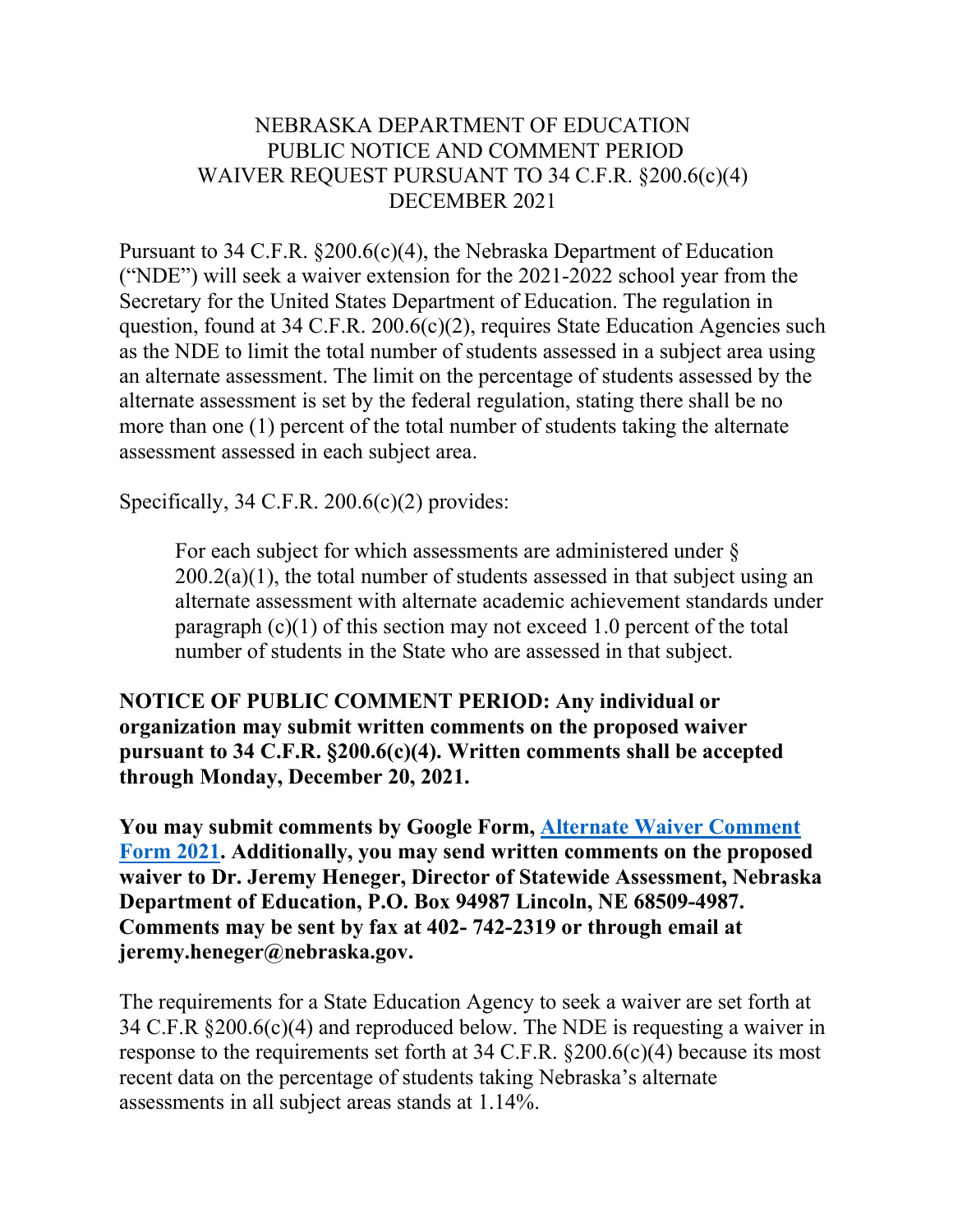#### NEBRASKA DEPARTMENT OF EDUCATION PUBLIC NOTICE AND COMMENT PERIOD WAIVER REQUEST PURSUANT TO 34 C.F.R. §200.6(c)(4) DECEMBER 2021

Pursuant to 34 C.F.R. §200.6(c)(4), the Nebraska Department of Education ("NDE") will seek a waiver extension for the 2021-2022 school year from the Secretary for the United States Department of Education. The regulation in question, found at 34 C.F.R. 200.6(c)(2), requires State Education Agencies such as the NDE to limit the total number of students assessed in a subject area using an alternate assessment. The limit on the percentage of students assessed by the alternate assessment is set by the federal regulation, stating there shall be no more than one (1) percent of the total number of students taking the alternate assessment assessed in each subject area.

Specifically, 34 C.F.R. 200.6(c)(2) provides:

For each subject for which assessments are administered under §  $200.2(a)(1)$ , the total number of students assessed in that subject using an alternate assessment with alternate academic achievement standards under paragraph  $(c)(1)$  of this section may not exceed 1.0 percent of the total number of students in the State who are assessed in that subject.

**NOTICE OF PUBLIC COMMENT PERIOD: Any individual or organization may submit written comments on the proposed waiver pursuant to 34 C.F.R. §200.6(c)(4). Written comments shall be accepted through Monday, December 20, 2021.**

**You may submit comments by Google Form, [Alternate Waiver Comment](https://forms.gle/n6vXbp3HKNdJfK8X7)  [Form 2021.](https://forms.gle/n6vXbp3HKNdJfK8X7) Additionally, you may send written comments on the proposed waiver to Dr. Jeremy Heneger, Director of Statewide Assessment, Nebraska Department of Education, P.O. Box 94987 Lincoln, NE 68509-4987. Comments may be sent by fax at 402- 742-2319 or through email at jeremy.heneger@nebraska.gov.**

The requirements for a State Education Agency to seek a waiver are set forth at 34 C.F.R §200.6(c)(4) and reproduced below. The NDE is requesting a waiver in response to the requirements set forth at  $34$  C.F.R.  $\S 200.6(c)(4)$  because its most recent data on the percentage of students taking Nebraska's alternate assessments in all subject areas stands at 1.14%.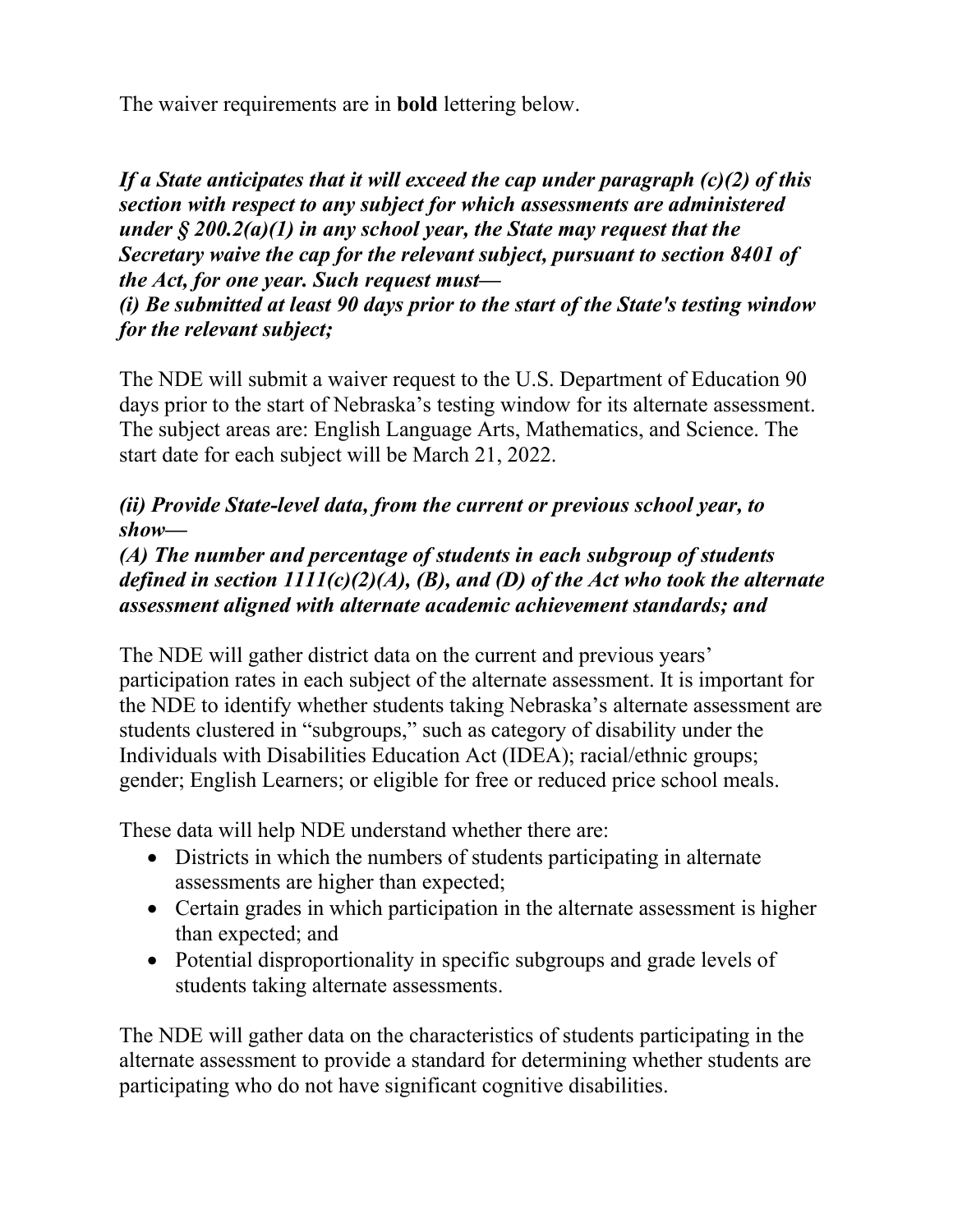The waiver requirements are in **bold** lettering below.

*If a State anticipates that it will exceed the cap under paragraph (c)(2) of this section with respect to any subject for which assessments are administered under § 200.2(a)(1) in any school year, the State may request that the Secretary waive the cap for the relevant subject, pursuant to section 8401 of the Act, for one year. Such request must—*

*(i) Be submitted at least 90 days prior to the start of the State's testing window for the relevant subject;* 

The NDE will submit a waiver request to the U.S. Department of Education 90 days prior to the start of Nebraska's testing window for its alternate assessment. The subject areas are: English Language Arts, Mathematics, and Science. The start date for each subject will be March 21, 2022.

## *(ii) Provide State-level data, from the current or previous school year, to show—*

## *(A) The number and percentage of students in each subgroup of students defined in section 1111(c)(2)(A), (B), and (D) of the Act who took the alternate assessment aligned with alternate academic achievement standards; and*

The NDE will gather district data on the current and previous years' participation rates in each subject of the alternate assessment. It is important for the NDE to identify whether students taking Nebraska's alternate assessment are students clustered in "subgroups," such as category of disability under the Individuals with Disabilities Education Act (IDEA); racial/ethnic groups; gender; English Learners; or eligible for free or reduced price school meals.

These data will help NDE understand whether there are:

- Districts in which the numbers of students participating in alternate assessments are higher than expected;
- Certain grades in which participation in the alternate assessment is higher than expected; and
- Potential disproportionality in specific subgroups and grade levels of students taking alternate assessments.

The NDE will gather data on the characteristics of students participating in the alternate assessment to provide a standard for determining whether students are participating who do not have significant cognitive disabilities.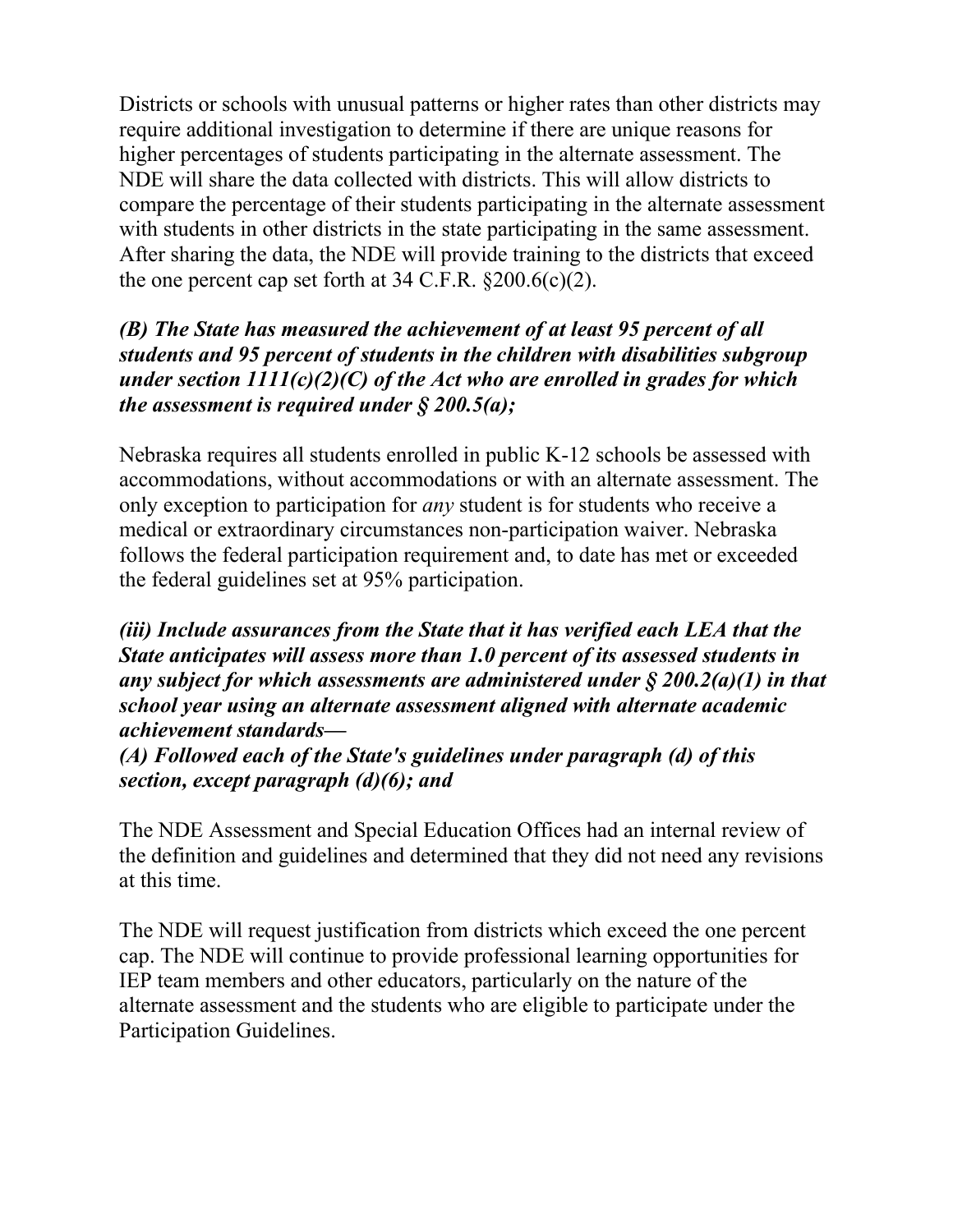Districts or schools with unusual patterns or higher rates than other districts may require additional investigation to determine if there are unique reasons for higher percentages of students participating in the alternate assessment. The NDE will share the data collected with districts. This will allow districts to compare the percentage of their students participating in the alternate assessment with students in other districts in the state participating in the same assessment. After sharing the data, the NDE will provide training to the districts that exceed the one percent cap set forth at  $34$  C.F.R.  $\S 200.6(c)(2)$ .

## *(B) The State has measured the achievement of at least 95 percent of all students and 95 percent of students in the children with disabilities subgroup under section 1111(c)(2)(C) of the Act who are enrolled in grades for which the assessment is required under § 200.5(a);*

Nebraska requires all students enrolled in public K-12 schools be assessed with accommodations, without accommodations or with an alternate assessment. The only exception to participation for *any* student is for students who receive a medical or extraordinary circumstances non-participation waiver. Nebraska follows the federal participation requirement and, to date has met or exceeded the federal guidelines set at 95% participation.

*(iii) Include assurances from the State that it has verified each LEA that the State anticipates will assess more than 1.0 percent of its assessed students in any subject for which assessments are administered under § 200.2(a)(1) in that school year using an alternate assessment aligned with alternate academic achievement standards—*

*(A) Followed each of the State's guidelines under paragraph (d) of this section, except paragraph (d)(6); and* 

The NDE Assessment and Special Education Offices had an internal review of the definition and guidelines and determined that they did not need any revisions at this time.

The NDE will request justification from districts which exceed the one percent cap. The NDE will continue to provide professional learning opportunities for IEP team members and other educators, particularly on the nature of the alternate assessment and the students who are eligible to participate under the Participation Guidelines.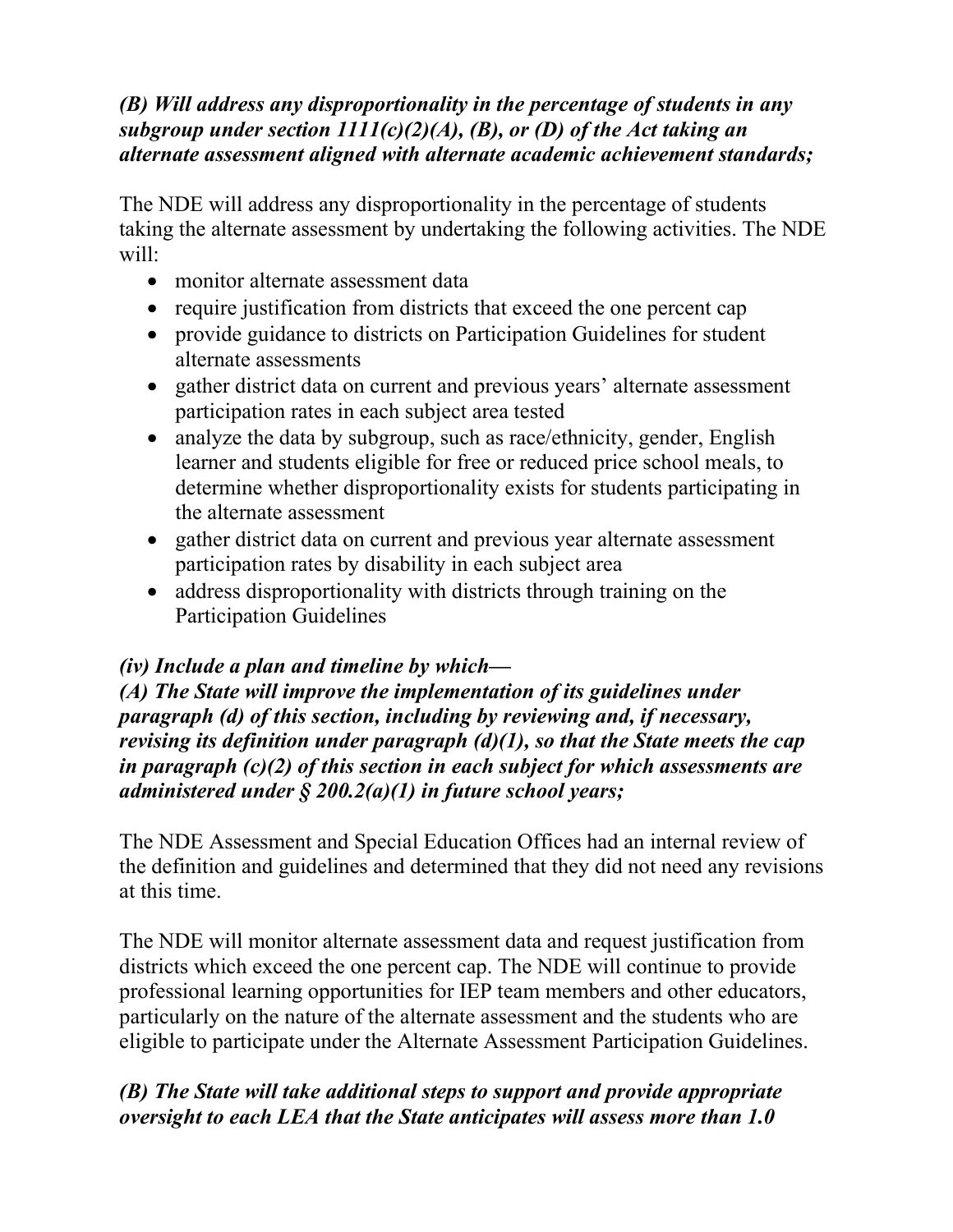### *(B) Will address any disproportionality in the percentage of students in any subgroup under section 1111(c)(2)(A), (B), or (D) of the Act taking an alternate assessment aligned with alternate academic achievement standards;*

The NDE will address any disproportionality in the percentage of students taking the alternate assessment by undertaking the following activities. The NDE will:

- monitor alternate assessment data
- require justification from districts that exceed the one percent cap
- provide guidance to districts on Participation Guidelines for student alternate assessments
- gather district data on current and previous years' alternate assessment participation rates in each subject area tested
- analyze the data by subgroup, such as race/ethnicity, gender, English learner and students eligible for free or reduced price school meals, to determine whether disproportionality exists for students participating in the alternate assessment
- gather district data on current and previous year alternate assessment participation rates by disability in each subject area
- address disproportionality with districts through training on the Participation Guidelines

# *(iv) Include a plan and timeline by which—*

*(A) The State will improve the implementation of its guidelines under paragraph (d) of this section, including by reviewing and, if necessary, revising its definition under paragraph (d)(1), so that the State meets the cap in paragraph (c)(2) of this section in each subject for which assessments are administered under § 200.2(a)(1) in future school years;* 

The NDE Assessment and Special Education Offices had an internal review of the definition and guidelines and determined that they did not need any revisions at this time.

The NDE will monitor alternate assessment data and request justification from districts which exceed the one percent cap. The NDE will continue to provide professional learning opportunities for IEP team members and other educators, particularly on the nature of the alternate assessment and the students who are eligible to participate under the Alternate Assessment Participation Guidelines.

# *(B) The State will take additional steps to support and provide appropriate oversight to each LEA that the State anticipates will assess more than 1.0*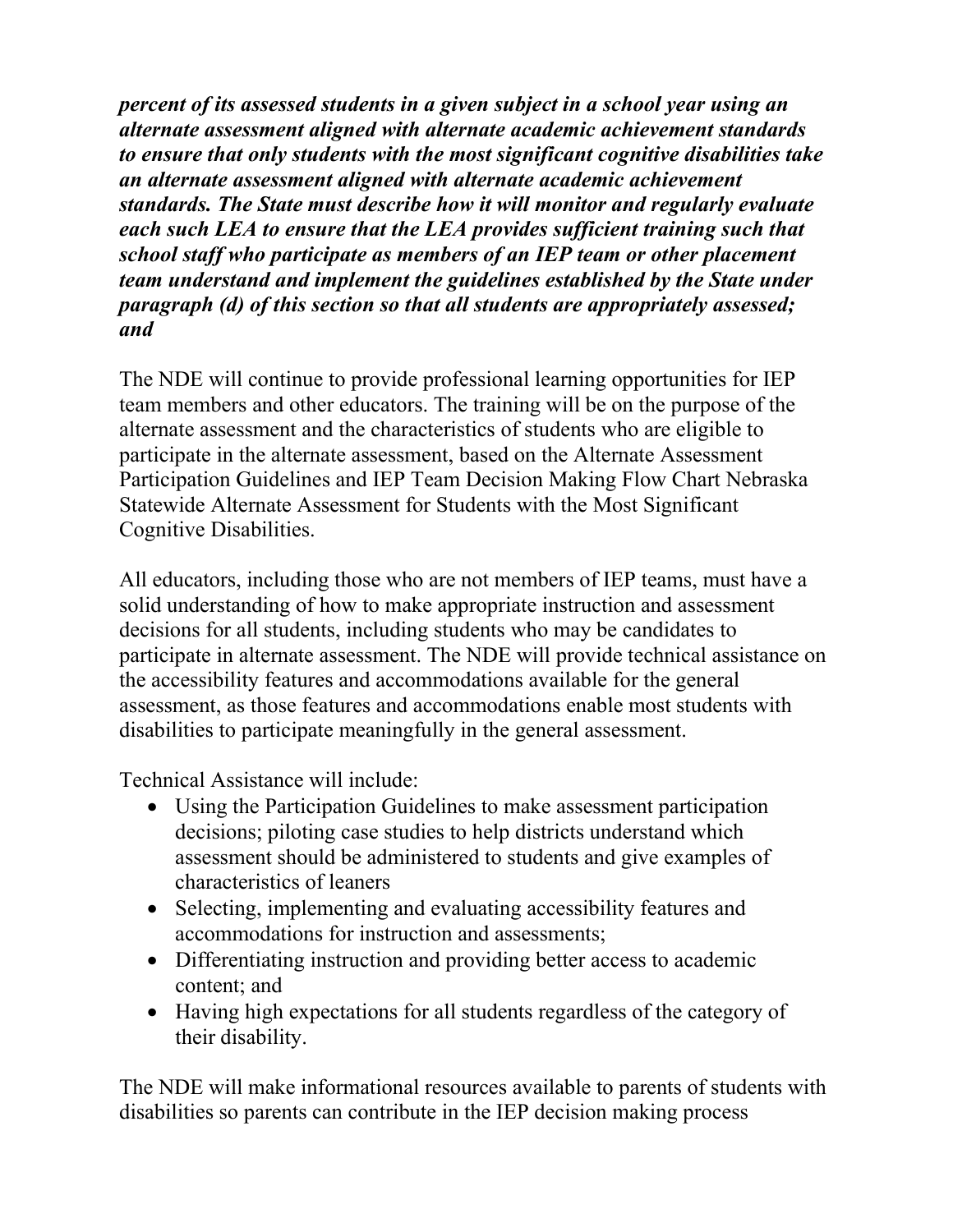*percent of its assessed students in a given subject in a school year using an alternate assessment aligned with alternate academic achievement standards to ensure that only students with the most significant cognitive disabilities take an alternate assessment aligned with alternate academic achievement standards. The State must describe how it will monitor and regularly evaluate each such LEA to ensure that the LEA provides sufficient training such that school staff who participate as members of an IEP team or other placement team understand and implement the guidelines established by the State under paragraph (d) of this section so that all students are appropriately assessed; and* 

The NDE will continue to provide professional learning opportunities for IEP team members and other educators. The training will be on the purpose of the alternate assessment and the characteristics of students who are eligible to participate in the alternate assessment, based on the Alternate Assessment Participation Guidelines and IEP Team Decision Making Flow Chart Nebraska Statewide Alternate Assessment for Students with the Most Significant Cognitive Disabilities.

All educators, including those who are not members of IEP teams, must have a solid understanding of how to make appropriate instruction and assessment decisions for all students, including students who may be candidates to participate in alternate assessment. The NDE will provide technical assistance on the accessibility features and accommodations available for the general assessment, as those features and accommodations enable most students with disabilities to participate meaningfully in the general assessment.

Technical Assistance will include:

- Using the Participation Guidelines to make assessment participation decisions; piloting case studies to help districts understand which assessment should be administered to students and give examples of characteristics of leaners
- Selecting, implementing and evaluating accessibility features and accommodations for instruction and assessments;
- Differentiating instruction and providing better access to academic content; and
- Having high expectations for all students regardless of the category of their disability.

The NDE will make informational resources available to parents of students with disabilities so parents can contribute in the IEP decision making process